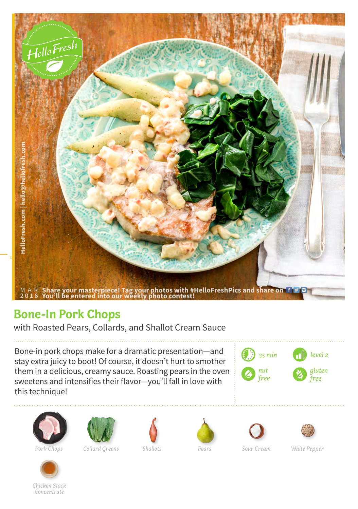

## **Bone-In Pork Chops**

with Roasted Pears, Collards, and Shallot Cream Sauce

Bone-in pork chops make for a dramatic presentation—and stay extra juicy to boot! Of course, it doesn't hurt to smother them in a delicious, creamy sauce. Roasting pears in the oven sweetens and intensifies their flavor—you'll fall in love with this technique!







*Pork Chops Collard Greens Shallots Pears Sour Cream White Pepper*